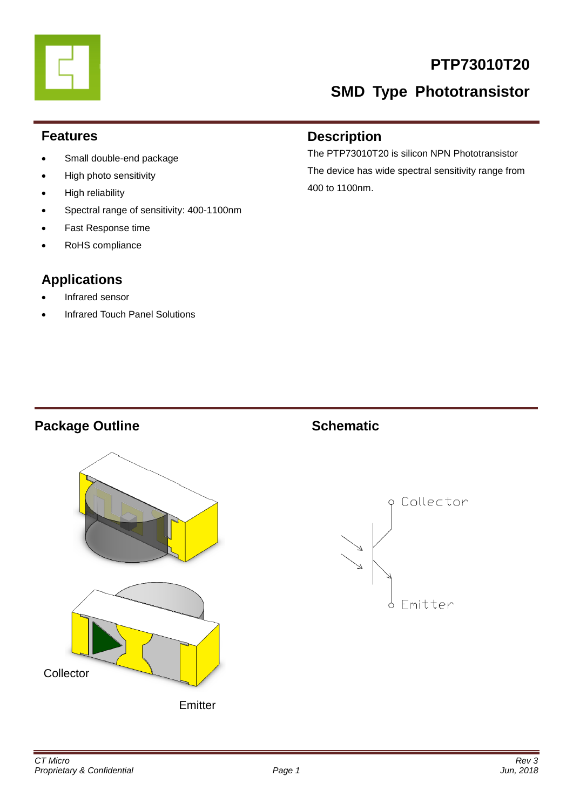# **PTP73010T20**

# **SMD Type Phototransistor**

### **Features**

- Small double-end package
- High photo sensitivity
- High reliability
- Spectral range of sensitivity: 400-1100nm
- Fast Response time
- RoHS compliance

## **Applications**

- Infrared sensor
- Infrared Touch Panel Solutions

### **Description**

The PTP73010T20 is silicon NPN Phototransistor The device has wide spectral sensitivity range from 400 to 1100nm.

### **Package Outline Schematic**



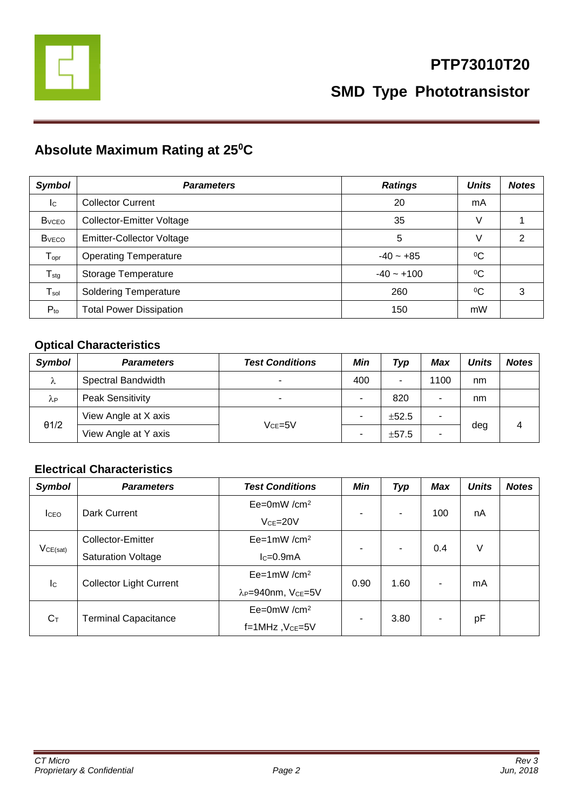

# **Absolute Maximum Rating at 25<sup>0</sup>C**

| <b>Symbol</b>                | <b>Parameters</b>                | <b>Ratings</b> | <b>Units</b> | <b>Notes</b> |
|------------------------------|----------------------------------|----------------|--------------|--------------|
| $\mathsf{I}^{\mathsf{C}}$    | <b>Collector Current</b>         | 20             | mA           |              |
| <b>B</b> <sub>vceo</sub>     | Collector-Emitter Voltage        | 35             | V            |              |
| <b>B</b> <sub>vECO</sub>     | <b>Emitter-Collector Voltage</b> | 5              | V            | 2            |
| ${\mathsf T}_{\mathsf{opr}}$ | <b>Operating Temperature</b>     | $-40 - +85$    | $\rm ^{0}C$  |              |
| ${\mathsf T}_{\text{stg}}$   | Storage Temperature              | $-40 - +100$   | $\rm ^{0}C$  |              |
| $T_{sol}$                    | <b>Soldering Temperature</b>     | 260            | $\rm ^{0}C$  | 3            |
| $P_{to}$                     | <b>Total Power Dissipation</b>   | 150            | mW           |              |

### **Optical Characteristics**

| <b>Symbol</b>          | <b>Parameters</b>       | <b>Test Conditions</b> | Min                      | Typ   | Max  | <b>Units</b> | <b>Notes</b> |
|------------------------|-------------------------|------------------------|--------------------------|-------|------|--------------|--------------|
| λ                      | Spectral Bandwidth      |                        | 400                      |       | 1100 | nm           |              |
| $\lambda_{\mathsf{P}}$ | <b>Peak Sensitivity</b> |                        | ۰                        | 820   |      | nm           |              |
| $\theta$ 1/2           | View Angle at X axis    | $V$ cF=5 $V$           | ٠                        | ±52.5 | ۰    |              |              |
|                        | View Angle at Y axis    |                        | $\overline{\phantom{0}}$ | ±57.5 | ۰    | deg          | 4            |

### **Electrical Characteristics**

| <b>Symbol</b>             | <b>Parameters</b>              | <b>Test Conditions</b>                     | Min  | Typ            | <b>Max</b> | <b>Units</b> | <b>Notes</b> |
|---------------------------|--------------------------------|--------------------------------------------|------|----------------|------------|--------------|--------------|
|                           | Dark Current                   | $Ee=0mW/cm^2$                              |      | ٠              | 100        | nA           |              |
| <b>I</b> CEO              |                                | $VCE=20V$                                  | ۰    |                |            |              |              |
| VCE(sat)                  | Collector-Emitter              | $Ee=1mW/cm^2$                              | ۰    | $\blacksquare$ | 0.4        | V            |              |
|                           | <b>Saturation Voltage</b>      | $lc=0.9mA$                                 |      |                |            |              |              |
| $\mathsf{I}_{\mathsf{C}}$ | <b>Collector Light Current</b> | $Ee=1mW/cm^2$                              | 0.90 | 1.60           | ۰          | mA           |              |
|                           |                                | λ <sub>P</sub> =940nm, V <sub>CE</sub> =5V |      |                |            |              |              |
| $C_T$                     | <b>Terminal Capacitance</b>    | $Ee=0mW/cm^2$                              | ۰    | 3.80           | ۰          |              |              |
|                           |                                | $f=1$ MHz, $VCE=5V$                        |      |                |            | рF           |              |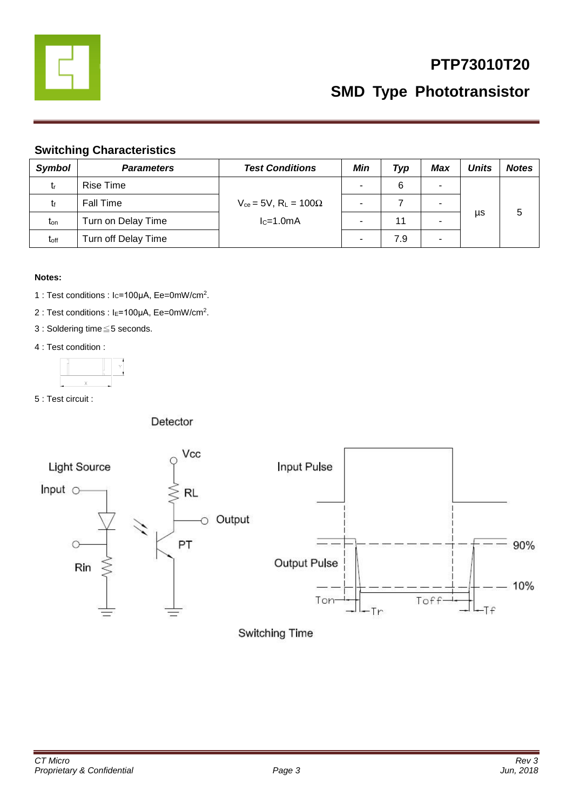

# **PTP73010T20**

**SMD Type Phototransistor**

### **Switching Characteristics**

| <b>Symbol</b>    | <b>Parameters</b>   | <b>Test Conditions</b>                                     | Min                      | Typ | Max | <b>Units</b> | <b>Notes</b> |
|------------------|---------------------|------------------------------------------------------------|--------------------------|-----|-----|--------------|--------------|
| tr               | Rise Time           | $V_{ce}$ = 5V, R <sub>L</sub> = 100 $\Omega$<br>$lc=1.0mA$ | $\overline{\phantom{0}}$ | 6   | ۰   |              |              |
|                  | <b>Fall Time</b>    |                                                            | $\overline{\phantom{0}}$ |     | ۰   |              |              |
| $t_{on}$         | Turn on Delay Time  |                                                            |                          | 11  |     | μs           | 5            |
| t <sub>off</sub> | Turn off Delay Time |                                                            |                          | 7.9 | ۰   |              |              |

### **Notes:**

- 1 : Test conditions : Ic=100μA, Ee=0mW/cm<sup>2</sup>.
- 2 : Test conditions : I<sub>E</sub>=100μA, Ee=0mW/cm<sup>2</sup>.
- 3 : Soldering time≦5 seconds.
- 4 : Test condition :



5 : Test circuit :

### Detector

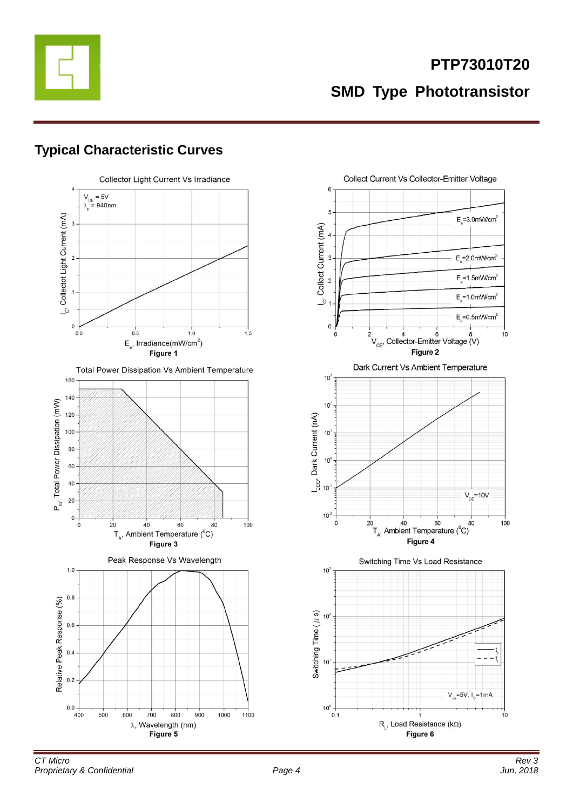

# **Typical Characteristic Curves**



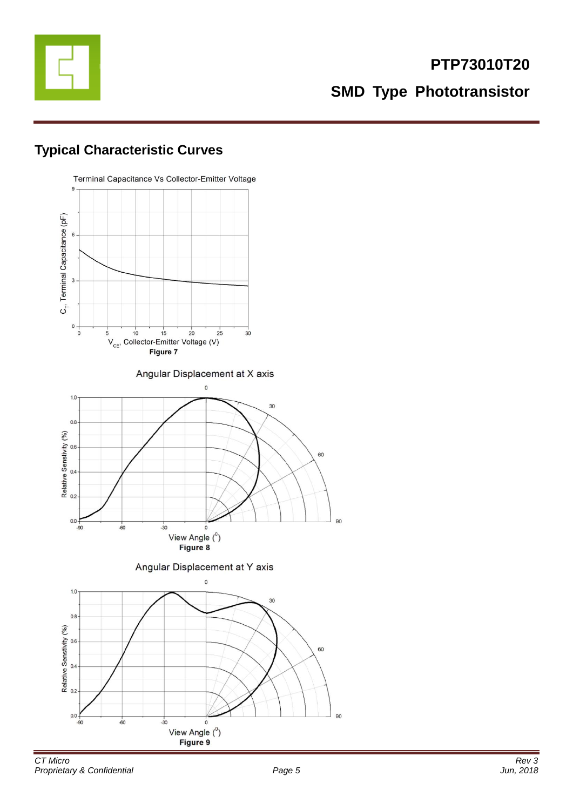

# **Typical Characteristic Curves**

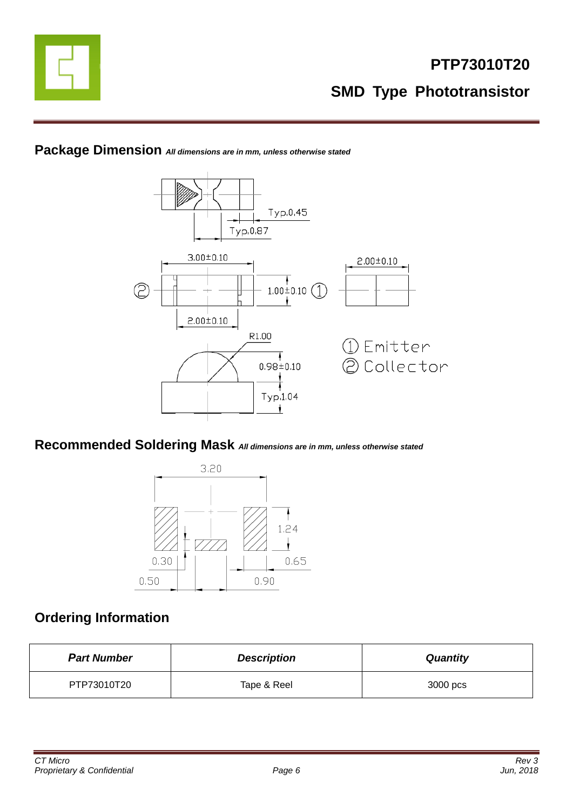





### **Recommended Soldering Mask** *All dimensions are in mm, unless otherwise stated*



# **Ordering Information**

| <b>Part Number</b> | <b>Description</b> | <b>Quantity</b> |
|--------------------|--------------------|-----------------|
| PTP73010T20        | Tape & Reel        | 3000 pcs        |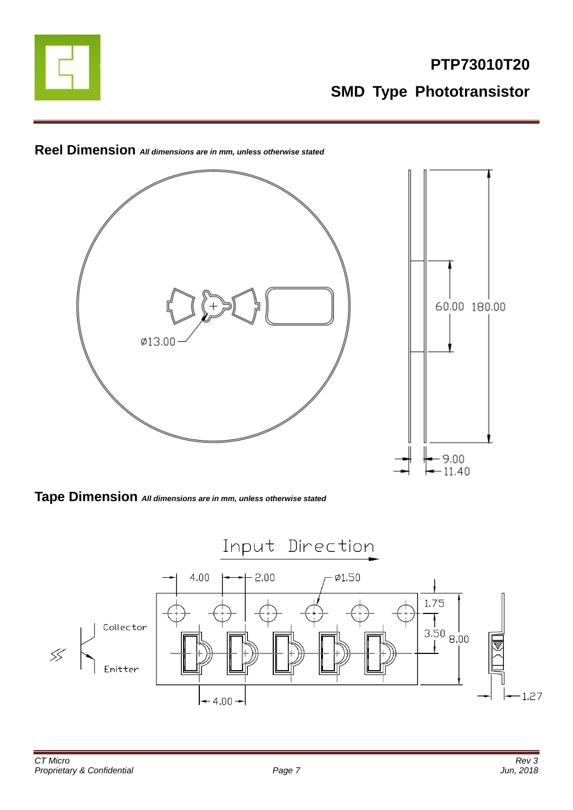



**Reel Dimension** *All dimensions are in mm, unless otherwise stated*

**Tape Dimension** *All dimensions are in mm, unless otherwise stated*

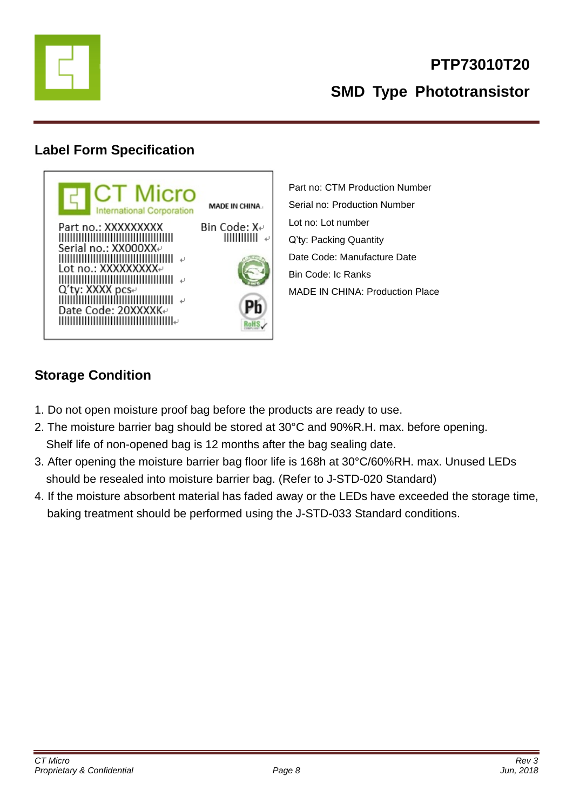

# **Label Form Specification**



Part no: CTM Production Number Serial no: Production Number Lot no: Lot number Q'ty: Packing Quantity Date Code: Manufacture Date Bin Code: Ic Ranks MADE IN CHINA: Production Place

# **Storage Condition**

- 1. Do not open moisture proof bag before the products are ready to use.
- 2. The moisture barrier bag should be stored at 30°C and 90%R.H. max. before opening. Shelf life of non-opened bag is 12 months after the bag sealing date.
- 3. After opening the moisture barrier bag floor life is 168h at 30°C/60%RH. max. Unused LEDs should be resealed into moisture barrier bag. (Refer to J-STD-020 Standard)
- 4. If the moisture absorbent material has faded away or the LEDs have exceeded the storage time, baking treatment should be performed using the J-STD-033 Standard conditions.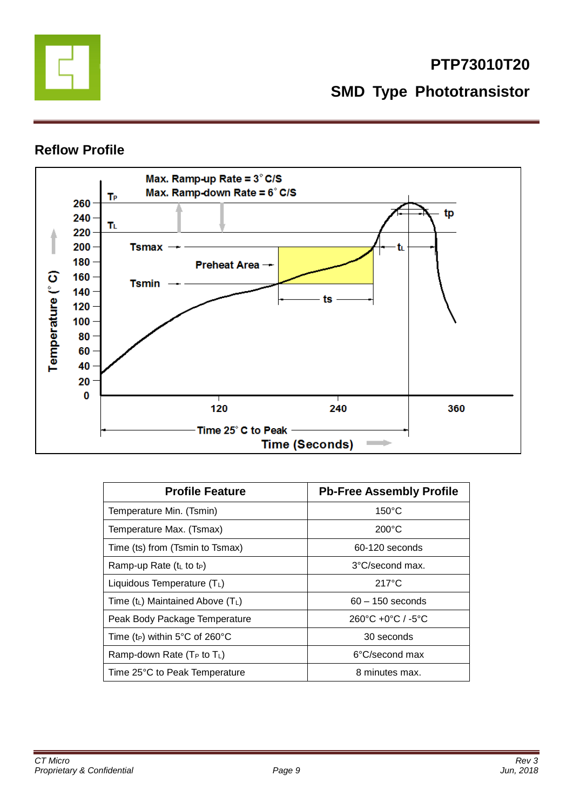

### **Reflow Profile**



| <b>Profile Feature</b>                           | <b>Pb-Free Assembly Profile</b>                   |  |  |
|--------------------------------------------------|---------------------------------------------------|--|--|
| Temperature Min. (Tsmin)                         | $150^{\circ}$ C                                   |  |  |
| Temperature Max. (Tsmax)                         | $200^{\circ}$ C                                   |  |  |
| Time (ts) from (Tsmin to Tsmax)                  | 60-120 seconds                                    |  |  |
| Ramp-up Rate (t <sub>L</sub> to t <sub>P</sub> ) | 3°C/second max.                                   |  |  |
| Liquidous Temperature $(T_L)$                    | $217^{\circ}$ C                                   |  |  |
| Time $(t_L)$ Maintained Above $(T_L)$            | $60 - 150$ seconds                                |  |  |
| Peak Body Package Temperature                    | $260^{\circ}$ C +0 $^{\circ}$ C / -5 $^{\circ}$ C |  |  |
| Time (t <sub>P</sub> ) within 5°C of 260°C       | 30 seconds                                        |  |  |
| Ramp-down Rate $(T_P$ to $T_L$ )                 | 6°C/second max                                    |  |  |
| Time 25°C to Peak Temperature                    | 8 minutes max.                                    |  |  |